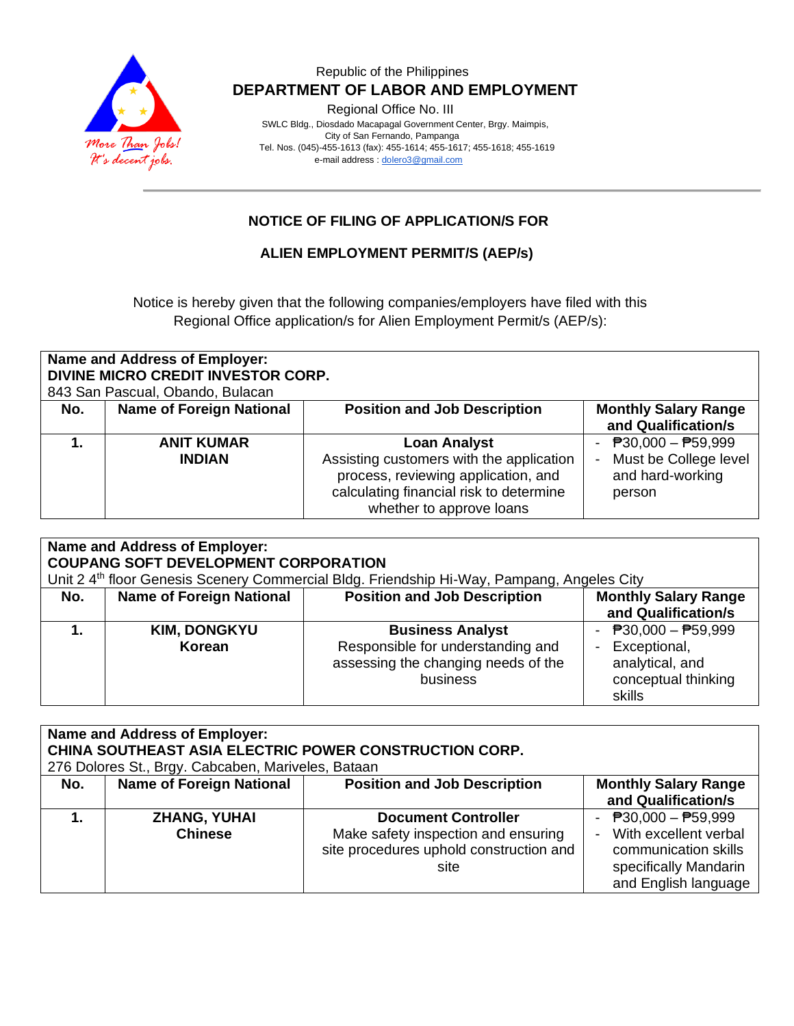

## Republic of the Philippines  **DEPARTMENT OF LABOR AND EMPLOYMENT**

Regional Office No. III

 SWLC Bldg., Diosdado Macapagal Government Center, Brgy. Maimpis, City of San Fernando, Pampanga Tel. Nos. (045)-455-1613 (fax): 455-1614; 455-1617; 455-1618; 455-1619 e-mail address [: dolero3@gmail.com](mailto:dolero3@gmail.com)

# **NOTICE OF FILING OF APPLICATION/S FOR**

### **ALIEN EMPLOYMENT PERMIT/S (AEP/s)**

Notice is hereby given that the following companies/employers have filed with this Regional Office application/s for Alien Employment Permit/s (AEP/s):

| Name and Address of Employer:<br>DIVINE MICRO CREDIT INVESTOR CORP.<br>843 San Pascual, Obando, Bulacan |                                 |                                                                                 |                                                    |
|---------------------------------------------------------------------------------------------------------|---------------------------------|---------------------------------------------------------------------------------|----------------------------------------------------|
| No.                                                                                                     | <b>Name of Foreign National</b> | <b>Position and Job Description</b>                                             | <b>Monthly Salary Range</b><br>and Qualification/s |
|                                                                                                         |                                 |                                                                                 |                                                    |
|                                                                                                         | <b>ANIT KUMAR</b>               | <b>Loan Analyst</b>                                                             | $\overline{P}30,000 - \overline{P}59,999$          |
|                                                                                                         | <b>INDIAN</b>                   | Assisting customers with the application<br>process, reviewing application, and | Must be College level<br>and hard-working          |
|                                                                                                         |                                 | calculating financial risk to determine<br>whether to approve loans             | person                                             |

| Name and Address of Employer:<br><b>COUPANG SOFT DEVELOPMENT CORPORATION</b><br>Unit 2 4 <sup>th</sup> floor Genesis Scenery Commercial Bldg. Friendship Hi-Way, Pampang, Angeles City |                                 |                                                                                                                 |                                                                                           |
|----------------------------------------------------------------------------------------------------------------------------------------------------------------------------------------|---------------------------------|-----------------------------------------------------------------------------------------------------------------|-------------------------------------------------------------------------------------------|
| No.                                                                                                                                                                                    | <b>Name of Foreign National</b> | <b>Position and Job Description</b>                                                                             | <b>Monthly Salary Range</b><br>and Qualification/s                                        |
|                                                                                                                                                                                        | <b>KIM, DONGKYU</b><br>Korean   | <b>Business Analyst</b><br>Responsible for understanding and<br>assessing the changing needs of the<br>business | - $P30,000 - P59,999$<br>Exceptional,<br>analytical, and<br>conceptual thinking<br>skills |

| Name and Address of Employer:<br>CHINA SOUTHEAST ASIA ELECTRIC POWER CONSTRUCTION CORP.<br>276 Dolores St., Brgy. Cabcaben, Mariveles, Bataan |                                       |                                                                                                                      |                                                                                                                         |
|-----------------------------------------------------------------------------------------------------------------------------------------------|---------------------------------------|----------------------------------------------------------------------------------------------------------------------|-------------------------------------------------------------------------------------------------------------------------|
| No.                                                                                                                                           | <b>Name of Foreign National</b>       | <b>Position and Job Description</b>                                                                                  | <b>Monthly Salary Range</b><br>and Qualification/s                                                                      |
|                                                                                                                                               | <b>ZHANG, YUHAI</b><br><b>Chinese</b> | <b>Document Controller</b><br>Make safety inspection and ensuring<br>site procedures uphold construction and<br>site | - $P30,000 - P59,999$<br>With excellent verbal<br>communication skills<br>specifically Mandarin<br>and English language |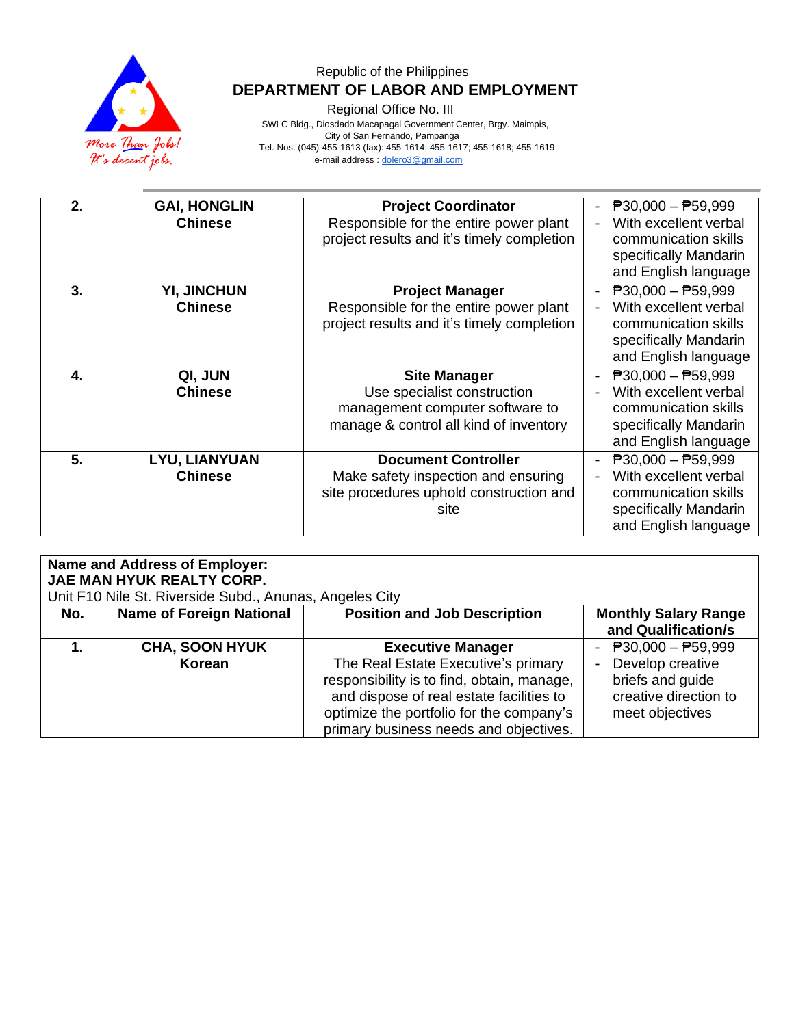

# Republic of the Philippines  **DEPARTMENT OF LABOR AND EMPLOYMENT**

Regional Office No. III

 SWLC Bldg., Diosdado Macapagal Government Center, Brgy. Maimpis, City of San Fernando, Pampanga Tel. Nos. (045)-455-1613 (fax): 455-1614; 455-1617; 455-1618; 455-1619 e-mail address [: dolero3@gmail.com](mailto:dolero3@gmail.com)

| 2. | <b>GAI, HONGLIN</b><br><b>Chinese</b>  | <b>Project Coordinator</b><br>Responsible for the entire power plant<br>project results and it's timely completion              | $\overline{P}30,000 - \overline{P}59,999$<br>With excellent verbal<br>communication skills<br>specifically Mandarin<br>and English language |
|----|----------------------------------------|---------------------------------------------------------------------------------------------------------------------------------|---------------------------------------------------------------------------------------------------------------------------------------------|
| 3. | <b>YI, JINCHUN</b><br><b>Chinese</b>   | <b>Project Manager</b><br>Responsible for the entire power plant<br>project results and it's timely completion                  | $\overline{P}30,000 - \overline{P}59,999$<br>With excellent verbal<br>communication skills<br>specifically Mandarin<br>and English language |
| 4. | QI, JUN<br><b>Chinese</b>              | <b>Site Manager</b><br>Use specialist construction<br>management computer software to<br>manage & control all kind of inventory | $\overline{P}30,000 - \overline{P}59,999$<br>With excellent verbal<br>communication skills<br>specifically Mandarin<br>and English language |
| 5. | <b>LYU, LIANYUAN</b><br><b>Chinese</b> | <b>Document Controller</b><br>Make safety inspection and ensuring<br>site procedures uphold construction and<br>site            | $P30,000 - P59,999$<br>With excellent verbal<br>communication skills<br>specifically Mandarin<br>and English language                       |

| <b>Name and Address of Employer:</b><br>JAE MAN HYUK REALTY CORP.<br>Unit F10 Nile St. Riverside Subd., Anunas, Angeles City |                                 |                                                                                                                                                                                                                                                 |                                                                                                           |  |
|------------------------------------------------------------------------------------------------------------------------------|---------------------------------|-------------------------------------------------------------------------------------------------------------------------------------------------------------------------------------------------------------------------------------------------|-----------------------------------------------------------------------------------------------------------|--|
| No.                                                                                                                          | <b>Name of Foreign National</b> | <b>Position and Job Description</b>                                                                                                                                                                                                             | <b>Monthly Salary Range</b><br>and Qualification/s                                                        |  |
|                                                                                                                              | <b>CHA, SOON HYUK</b><br>Korean | <b>Executive Manager</b><br>The Real Estate Executive's primary<br>responsibility is to find, obtain, manage,<br>and dispose of real estate facilities to<br>optimize the portfolio for the company's<br>primary business needs and objectives. | - $P30,000 - P59,999$<br>Develop creative<br>briefs and guide<br>creative direction to<br>meet objectives |  |